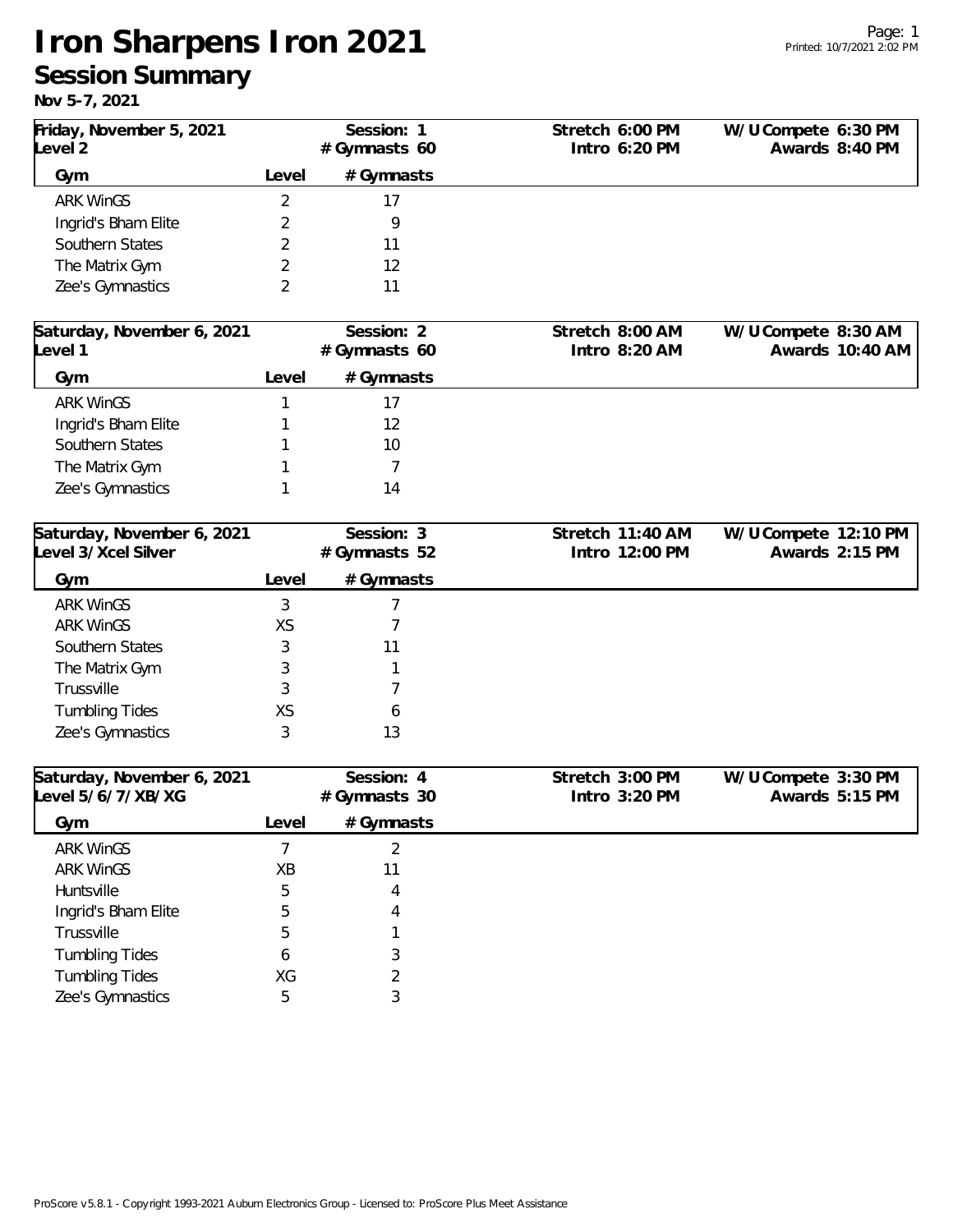## **Iron Sharpens Iron 2021 Session Summary**

**Nov 5-7, 2021**

| Friday, November 5, 2021                          |                | Session: 1                 | Stretch 6:00 PM                    | W/U Compete 6:30 PM  |                 |
|---------------------------------------------------|----------------|----------------------------|------------------------------------|----------------------|-----------------|
| Level 2                                           |                | #Gymnasts 60               | Intro 6:20 PM                      |                      | Awards 8:40 PM  |
| Gym                                               | Level          | # Gymnasts                 |                                    |                      |                 |
| <b>ARK WinGS</b>                                  | 2              | 17                         |                                    |                      |                 |
| Ingrid's Bham Elite                               | 2              | 9                          |                                    |                      |                 |
| Southern States                                   | 2              | 11                         |                                    |                      |                 |
| The Matrix Gym                                    | 2              | 12                         |                                    |                      |                 |
| Zee's Gymnastics                                  | 2              | 11                         |                                    |                      |                 |
| Saturday, November 6, 2021                        |                | Session: 2                 | Stretch 8:00 AM                    | W/U Compete 8:30 AM  |                 |
| Level 1                                           |                | #Gymnasts 60               | Intro 8:20 AM                      |                      | Awards 10:40 AM |
| Gym                                               | Level          | # Gymnasts                 |                                    |                      |                 |
| <b>ARK WinGS</b>                                  |                | 17                         |                                    |                      |                 |
| Ingrid's Bham Elite                               |                | 12                         |                                    |                      |                 |
| Southern States                                   |                | 10                         |                                    |                      |                 |
| The Matrix Gym                                    |                | 7                          |                                    |                      |                 |
| Zee's Gymnastics                                  |                | 14                         |                                    |                      |                 |
| Saturday, November 6, 2021<br>Level 3/Xcel Silver |                | Session: 3<br>#Gymnasts 52 | Stretch 11:40 AM<br>Intro 12:00 PM | W/U Compete 12:10 PM | Awards 2:15 PM  |
| Gym                                               | Level          | # Gymnasts                 |                                    |                      |                 |
| <b>ARK WinGS</b>                                  | 3              | $\overline{7}$             |                                    |                      |                 |
| <b>ARK WinGS</b>                                  | XS             | 7                          |                                    |                      |                 |
| Southern States                                   | 3              | 11                         |                                    |                      |                 |
| The Matrix Gym                                    | 3              |                            |                                    |                      |                 |
| Trussville                                        | 3              | 7                          |                                    |                      |                 |
| <b>Tumbling Tides</b>                             | XS             | 6                          |                                    |                      |                 |
| Zee's Gymnastics                                  | 3              | 13                         |                                    |                      |                 |
| Saturday, November 6, 2021<br>Level 5/6/7/XB/XG   |                | Session: 4                 | Stretch 3:00 PM<br>Intro 3:20 PM   | W/U Compete 3:30 PM  | Awards 5:15 PM  |
|                                                   |                | #Gymnasts 30               |                                    |                      |                 |
| Gym                                               | Level          | # Gymnasts                 |                                    |                      |                 |
| <b>ARK WinGS</b>                                  | $\overline{7}$ | $\overline{2}$             |                                    |                      |                 |
| <b>ARK WinGS</b>                                  | XB             | 11                         |                                    |                      |                 |
| Huntsville                                        | 5              | 4                          |                                    |                      |                 |
| Ingrid's Bham Elite                               | 5              | 4                          |                                    |                      |                 |
| Trussville                                        | 5              |                            |                                    |                      |                 |
| <b>Tumbling Tides</b>                             | 6              | 3                          |                                    |                      |                 |
| <b>Tumbling Tides</b>                             | XG             | 2                          |                                    |                      |                 |
| Zee's Gymnastics                                  | 5              | 3                          |                                    |                      |                 |